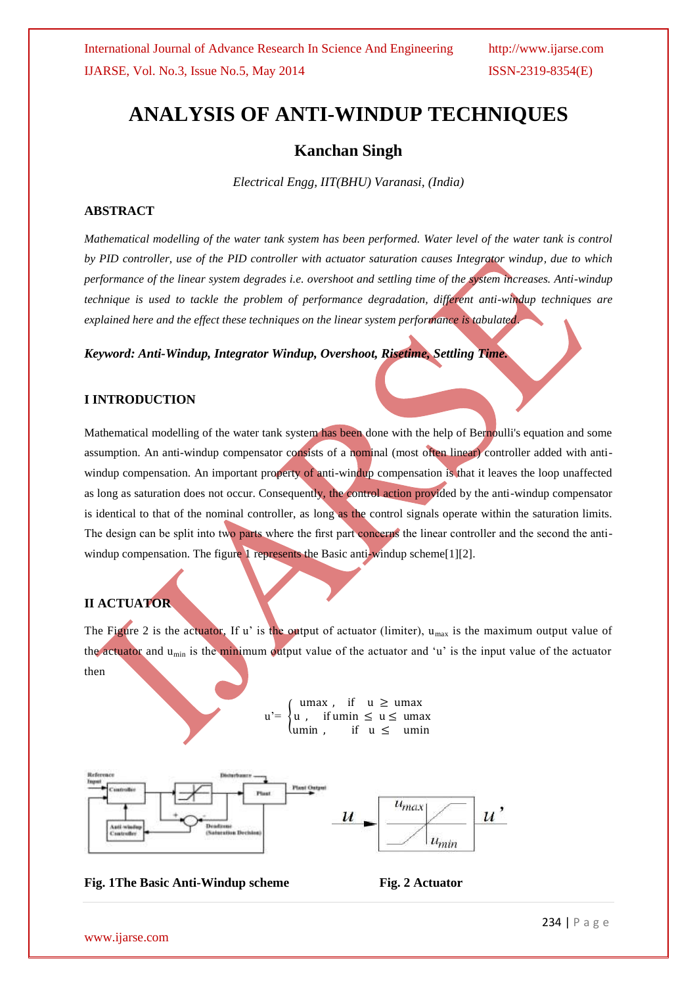# **ANALYSIS OF ANTI-WINDUP TECHNIQUES**

# **Kanchan Singh**

*Electrical Engg, IIT(BHU) Varanasi, (India)*

### **ABSTRACT**

*Mathematical modelling of the water tank system has been performed. Water level of the water tank is control by PID controller, use of the PID controller with actuator saturation causes Integrator windup, due to which performance of the linear system degrades i.e. overshoot and settling time of the system increases. Anti-windup technique is used to tackle the problem of performance degradation, different anti-windup techniques are explained here and the effect these techniques on the linear system performance is tabulated*.

### *Keyword: Anti-Windup, Integrator Windup, Overshoot, Risetime, Settling Time.*

### **I INTRODUCTION**

Mathematical modelling of the water tank system has been done with the help of Bernoulli's equation and some assumption. An anti-windup compensator consists of a nominal (most often linear) controller added with antiwindup compensation. An important property of anti-windup compensation is that it leaves the loop unaffected as long as saturation does not occur. Consequently, the control action provided by the anti-windup compensator is identical to that of the nominal controller, as long as the control signals operate within the saturation limits. The design can be split into two parts where the first part concerns the linear controller and the second the antiwindup compensation. The figure 1 represents the Basic anti-windup scheme[1][2].

# **II ACTUATOR**

The Figure 2 is the actuator, If u' is the output of actuator (limiter),  $u_{max}$  is the maximum output value of the actuator and  $u_{\text{min}}$  is the minimum output value of the actuator and 'u' is the input value of the actuator then

> $u' =$ umax, if  $u \geq u$  umax u, if umin  $\leq u \leq$  umax umin , if  $u \leq u$  umin



### Fig. 1 The Basic Anti-Windup scheme Fig. 2 Actuator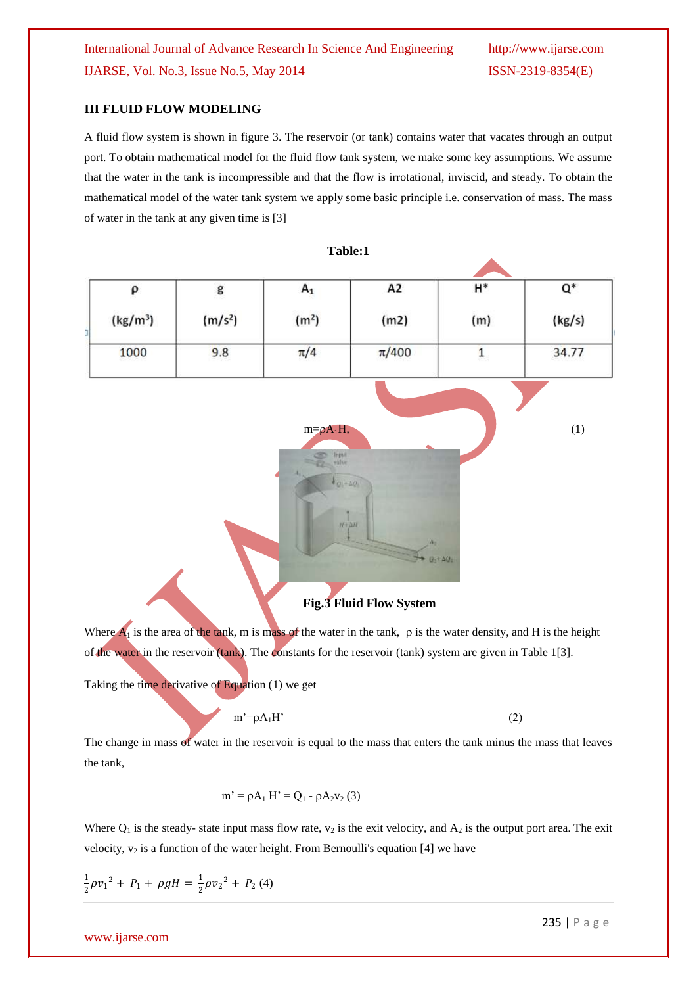### **III FLUID FLOW MODELING**

A fluid flow system is shown in figure 3. The reservoir (or tank) contains water that vacates through an output port. To obtain mathematical model for the fluid flow tank system, we make some key assumptions. We assume that the water in the tank is incompressible and that the flow is irrotational, inviscid, and steady. To obtain the mathematical model of the water tank system we apply some basic principle i.e. conservation of mass. The mass of water in the tank at any given time is [3]

**Table:1**

| $\pmb{\rho}$         | $\mathsf g$         | $\mathsf{A}_1$     | A2                   | $\mathsf{H}^*$   | $\mathsf{Q}^*$ |
|----------------------|---------------------|--------------------|----------------------|------------------|----------------|
| (kg/m <sup>3</sup> ) | (m/s <sup>2</sup> ) | (m <sup>2</sup> )  | (m2)                 | (m)              | (kg/s)         |
| 1000                 | 9.8                 | $\pi/4$            | $\pi/400$            | $\mathbf{1}$     | 34.77          |
|                      |                     |                    |                      |                  |                |
|                      |                     | $m = \rho A_1 H$ , |                      |                  | (1)            |
|                      |                     | Input<br>$10 - 70$ |                      |                  |                |
|                      |                     |                    |                      |                  |                |
|                      |                     |                    | $H + \Delta H$<br>A. |                  |                |
|                      |                     |                    |                      | $0 + \Delta Q_1$ |                |

## **Fig.3 Fluid Flow System**

Where  $\overline{A_1}$  is the area of the tank, m is mass of the water in the tank,  $\rho$  is the water density, and H is the height of the water in the reservoir (tank). The constants for the reservoir (tank) system are given in Table 1[3].

Taking the time derivative of Equation (1) we get

$$
m' = \rho A_1 H' \tag{2}
$$

The change in mass of water in the reservoir is equal to the mass that enters the tank minus the mass that leaves the tank,

$$
m' = \rho A_1 H' = Q_1 - \rho A_2 v_2 (3)
$$

Where  $Q_1$  is the steady- state input mass flow rate,  $v_2$  is the exit velocity, and  $A_2$  is the output port area. The exit velocity,  $v_2$  is a function of the water height. From Bernoulli's equation [4] we have

$$
\frac{1}{2}\rho v_1^2 + P_1 + \rho g H = \frac{1}{2}\rho v_2^2 + P_2 (4)
$$

www.ijarse.com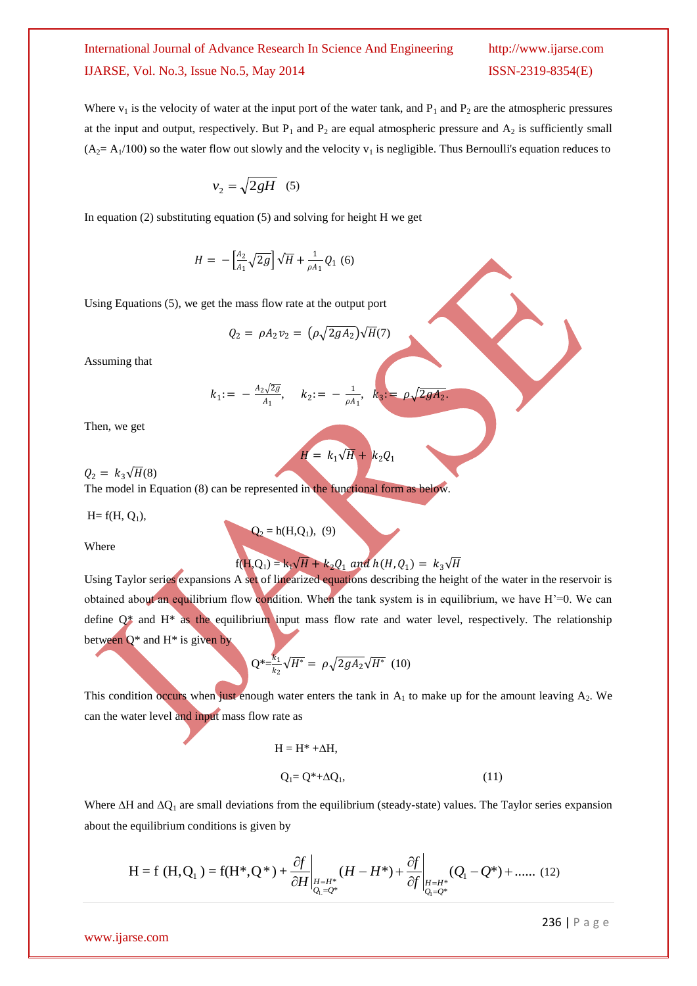Where  $v_1$  is the velocity of water at the input port of the water tank, and  $P_1$  and  $P_2$  are the atmospheric pressures at the input and output, respectively. But  $P_1$  and  $P_2$  are equal atmospheric pressure and  $A_2$  is sufficiently small  $(A<sub>2</sub>= A<sub>1</sub>/100)$  so the water flow out slowly and the velocity  $v<sub>1</sub>$  is negligible. Thus Bernoulli's equation reduces to

$$
v_2 = \sqrt{2gH} \quad (5)
$$

In equation  $(2)$  substituting equation  $(5)$  and solving for height H we get

$$
H = -\left[\frac{A_2}{A_1}\sqrt{2g}\right]\sqrt{H} + \frac{1}{\rho A_1}Q_1(6)
$$

Using Equations (5), we get the mass flow rate at the output port

$$
Q_2 = \rho A_2 v_2 = \left(\rho \sqrt{2gA_2}\right) \sqrt{H(7)}
$$

Assuming that

$$
k_1
$$
: =  $-\frac{A_2\sqrt{2g}}{A_1}$ ,  $k_2$ : =  $-\frac{1}{\rho A_1}$ ,  $k_3$ : =  $\rho \sqrt{2gA_2}$ .

Then, we get

$$
H = k_1 \sqrt{H} + k_2 Q_1
$$

 $Q_2 = k_3 \sqrt{H(8)}$ The model in Equation (8) can be represented in the functional form as below.

 $Q_2 = h(H, Q_1), (9)$ 

 $H= f(H, Q_1),$ 

Where

# $f(H, Q_1) = k_1 \sqrt{H} + k_2 Q_1$  and  $h(H, Q_1) = k_3 \sqrt{H}$

Using Taylor series expansions A set of linearized equations describing the height of the water in the reservoir is obtained about an equilibrium flow condition. When the tank system is in equilibrium, we have H"=0. We can define Q\* and H\* as the equilibrium input mass flow rate and water level, respectively. The relationship between  $Q^*$  and  $H^*$  is given by

$$
Q^* = \frac{k_1}{k_2} \sqrt{H^*} = \rho \sqrt{2gA_2} \sqrt{H^*} \quad (10)
$$

This condition occurs when just enough water enters the tank in  $A_1$  to make up for the amount leaving  $A_2$ . We can the water level and input mass flow rate as

$$
H = H^* + \Delta H,
$$
  
\n
$$
Q_i = Q^* + \Delta Q_i,
$$
\n(11)

Where  $\Delta H$  and  $\Delta Q_1$  are small deviations from the equilibrium (steady-state) values. The Taylor series expansion about the equilibrium conditions is given by

$$
H = f(H, Q_1) = f(H^*, Q^*) + \frac{\partial f}{\partial H}\bigg|_{\substack{H=H^*\\Q_1=Q^*}} (H - H^*) + \frac{\partial f}{\partial f}\bigg|_{\substack{H=H^*\\Q_1=Q^*}} (Q_1 - Q^*) + \dots \dots (12)
$$

#### www.ijarse.com

236 | P a g e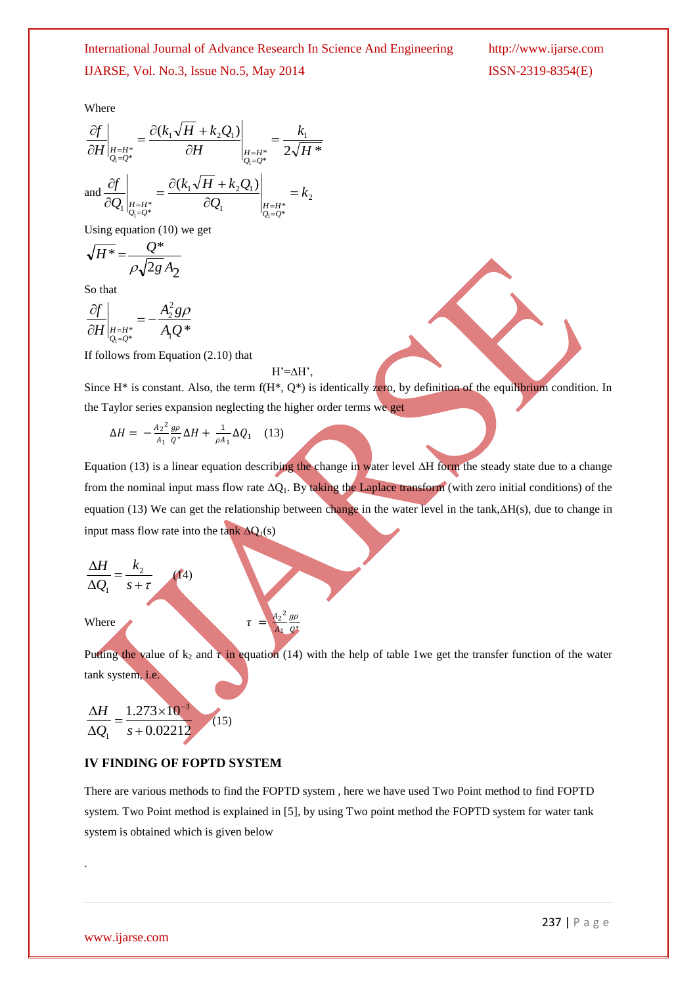Where

$$
\frac{\partial f}{\partial H}\Big|_{\substack{H=H^*\\Q_i=Q^*}} = \frac{\partial (k_1\sqrt{H} + k_2Q_1)}{\partial H}\Big|_{\substack{H=H^*\\Q_i=Q^*}} = \frac{k_1}{2\sqrt{H^*}}
$$
\n
$$
\text{and } \frac{\partial f}{\partial Q_1}\Big|_{\substack{H=H^*\\Q_i=Q^*}} = \frac{\partial (k_1\sqrt{H} + k_2Q_1)}{\partial Q_1}\Big|_{\substack{H=H^*\\Q_i=Q^*}} = k_2
$$

Using equation (10) we get

$$
\sqrt{H^*} = \frac{Q^*}{\rho \sqrt{2g} A_2}
$$

So that

$$
\left.\frac{\partial f}{\partial H}\right|_{\substack{H=H^*\\Q_1=Q^*}} = -\frac{A_2^2 g \rho}{A_1 Q^*}
$$

If follows from Equation (2.10) that

#### $H'=\Delta H'$ ,

 $A<sub>2</sub>$ 2  $A_1$  $g\rho$ ∗

Since  $H^*$  is constant. Also, the term  $f(H^*, Q^*)$  is identically zero, by definition of the equilibrium condition. In the Taylor series expansion neglecting the higher order terms we get

$$
\Delta H = -\frac{A_2^2}{A_1} \frac{g \rho}{Q^*} \Delta H + \frac{1}{\rho A_1} \Delta Q_1 \quad (13)
$$

Equation (13) is a linear equation describing the change in water level  $\Delta H$  form the steady state due to a change from the nominal input mass flow rate  $\Delta Q_1$ . By taking the Laplace transform (with zero initial conditions) of the equation (13) We can get the relationship between change in the water level in the tank, $\Delta H(s)$ , due to change in input mass flow rate into the tank  $\Delta Q_1(s)$ 

$$
\frac{\Delta H}{\Delta Q_1} = \frac{k_2}{s + \tau}
$$

Where

Putting the value of  $k_2$  and  $\tau$  in equation (14) with the help of table 1we get the transfer function of the water tank system, i.e.

$$
\frac{\Delta H}{\Delta Q_1} = \frac{1.273 \times 10^{-3}}{s + 0.02212}
$$
 (15)

### **IV FINDING OF FOPTD SYSTEM**

 $(14)$ 

There are various methods to find the FOPTD system , here we have used Two Point method to find FOPTD system. Two Point method is explained in [5], by using Two point method the FOPTD system for water tank system is obtained which is given below

.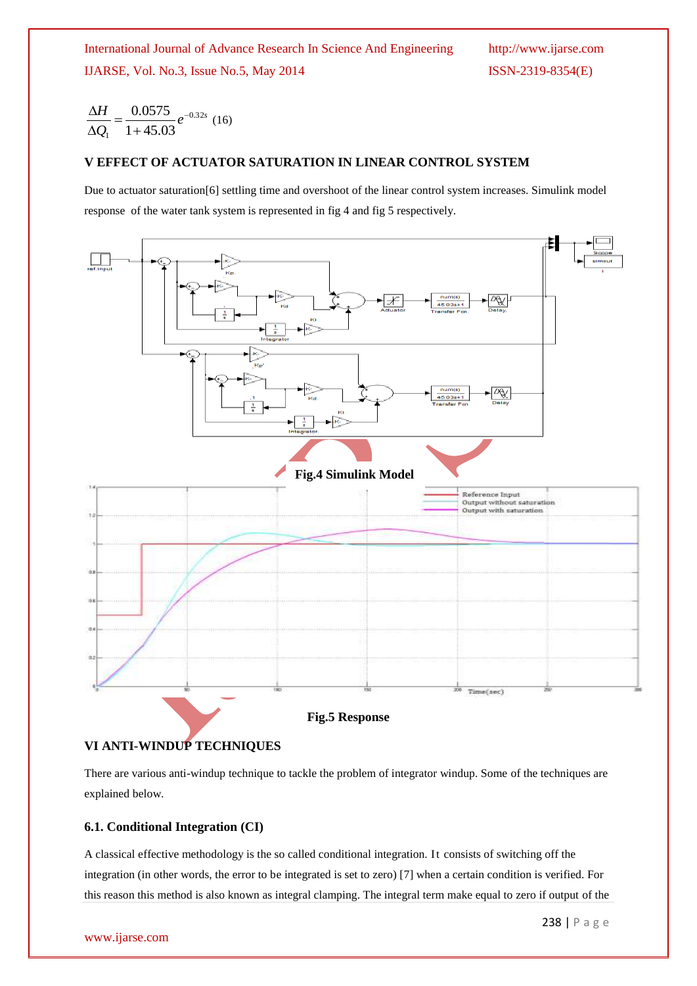*e Q*  $H = 0.0575$ <sub>2</sub>-0.32  $1 + 45.03$  $0.0575$ <sub>2</sub>  $\ddot{}$  $=$  $\Delta$  $\frac{\Delta H}{\Delta t} = \frac{0.0575}{1.00000} e^{-0.32s}$  (16)

# **V EFFECT OF ACTUATOR SATURATION IN LINEAR CONTROL SYSTEM**

Due to actuator saturation[6] settling time and overshoot of the linear control system increases. Simulink model response of the water tank system is represented in fig 4 and fig 5 respectively.



### **VI ANTI-WINDUP TECHNIQUES**

There are various anti-windup technique to tackle the problem of integrator windup. Some of the techniques are explained below.

### **6.1. Conditional Integration (CI)**

A classical effective methodology is the so called conditional integration. It consists of switching off the integration (in other words, the error to be integrated is set to zero) [7] when a certain condition is verified. For this reason this method is also known as integral clamping. The integral term make equal to zero if output of the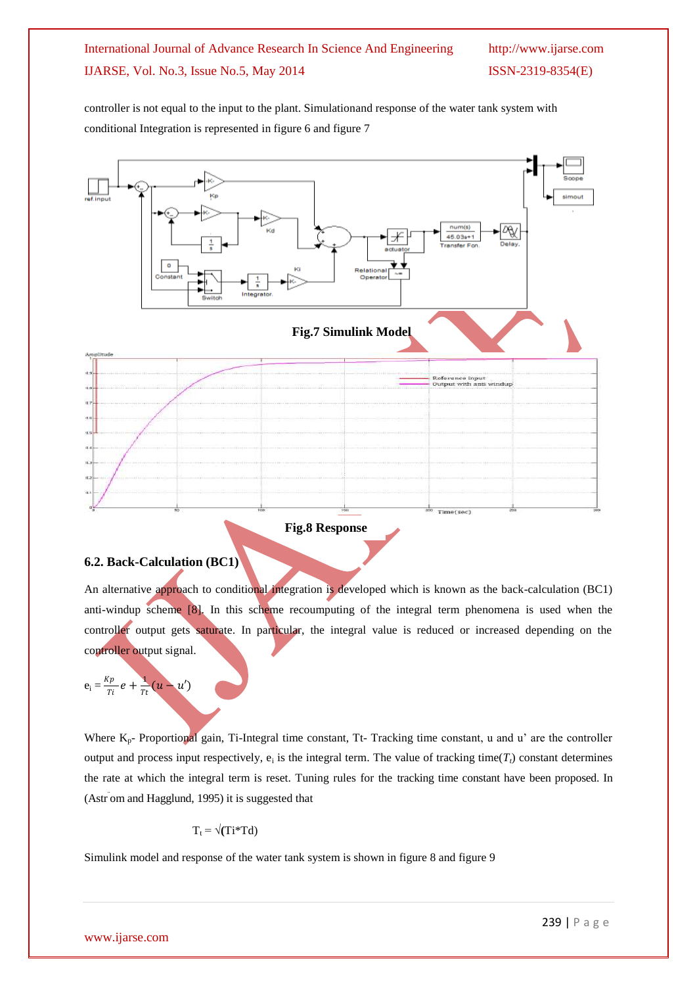controller is not equal to the input to the plant. Simulationand response of the water tank system with conditional Integration is represented in figure 6 and figure 7



#### **Fig.8 Response**

### **6.2. Back-Calculation (BC1)**

An alternative approach to conditional integration is developed which is known as the back-calculation (BC1) anti-windup scheme [8]. In this scheme recoumputing of the integral term phenomena is used when the controller output gets saturate. In particular, the integral value is reduced or increased depending on the controller output signal.

$$
e_i = \frac{Kp}{Ti} e + \frac{1}{Tt} (u - u')
$$

Where  $K_p$ - Proportional gain, Ti-Integral time constant, Tt- Tracking time constant, u and u' are the controller output and process input respectively,  $e_i$  is the integral term. The value of tracking time( $T_t$ ) constant determines the rate at which the integral term is reset. Tuning rules for the tracking time constant have been proposed. In (Astr ¨ om and Hagglund, 1995) it is suggested that

$$
T_t = \sqrt{(Ti^*Td)}
$$

Simulink model and response of the water tank system is shown in figure 8 and figure 9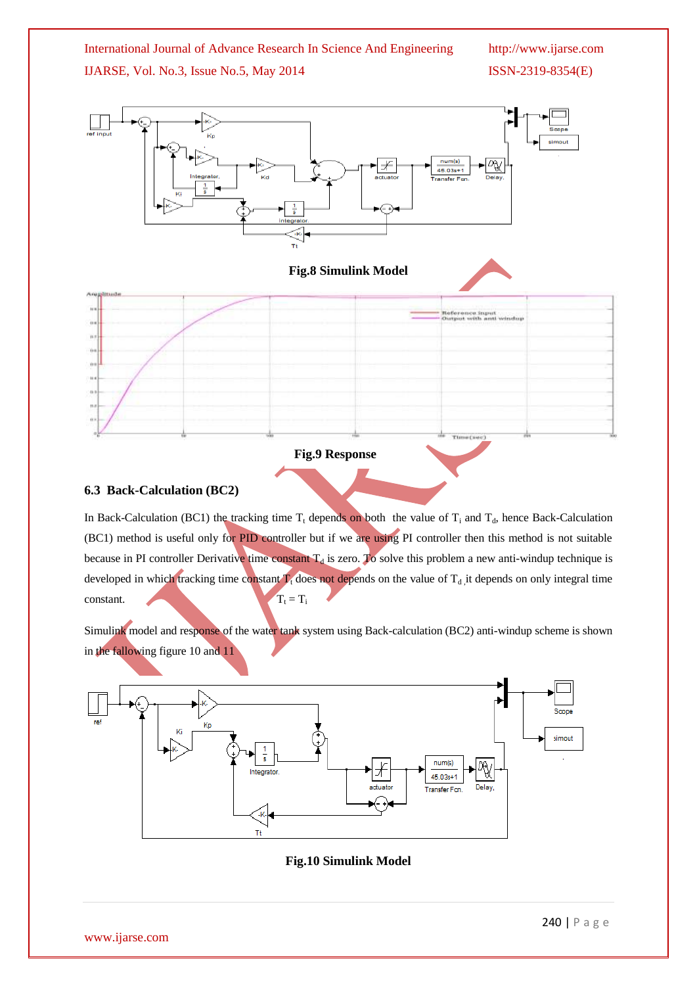

### **6.3 Back-Calculation (BC2)**

In Back-Calculation (BC1) the tracking time  $T_t$  depends on both the value of  $T_i$  and  $T_d$ , hence Back-Calculation (BC1) method is useful only for PID controller but if we are using PI controller then this method is not suitable because in PI controller Derivative time constant  $T_d$  is zero. To solve this problem a new anti-windup technique is developed in which tracking time constant  $T_t$  does not depends on the value of  $T_d$  it depends on only integral time constant.  $T_t = T_i$ 

Simulink model and response of the water tank system using Back-calculation (BC2) anti-windup scheme is shown in the fallowing figure 10 and 11



**Fig.10 Simulink Model**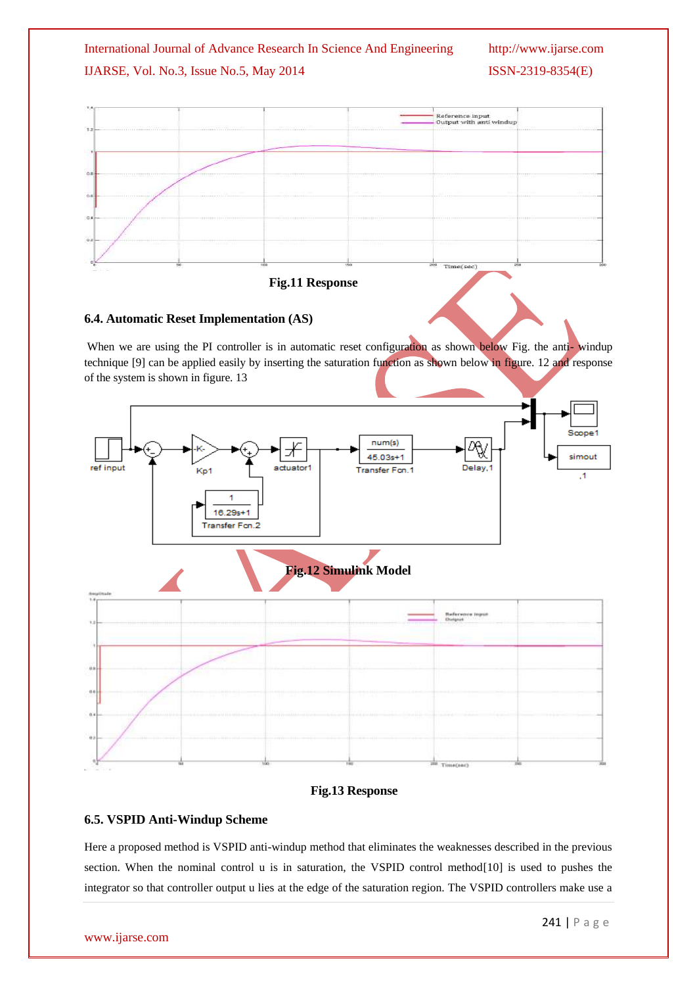



### **6.4. Automatic Reset Implementation (AS)**

When we are using the PI controller is in automatic reset configuration as shown below Fig. the anti-windup technique [9] can be applied easily by inserting the saturation function as shown below in figure. 12 and response of the system is shown in figure. 13



### **Fig.13 Response**

### **6.5. VSPID Anti-Windup Scheme**

Here a proposed method is VSPID anti-windup method that eliminates the weaknesses described in the previous section. When the nominal control u is in saturation, the VSPID control method<sup>[10]</sup> is used to pushes the integrator so that controller output u lies at the edge of the saturation region. The VSPID controllers make use a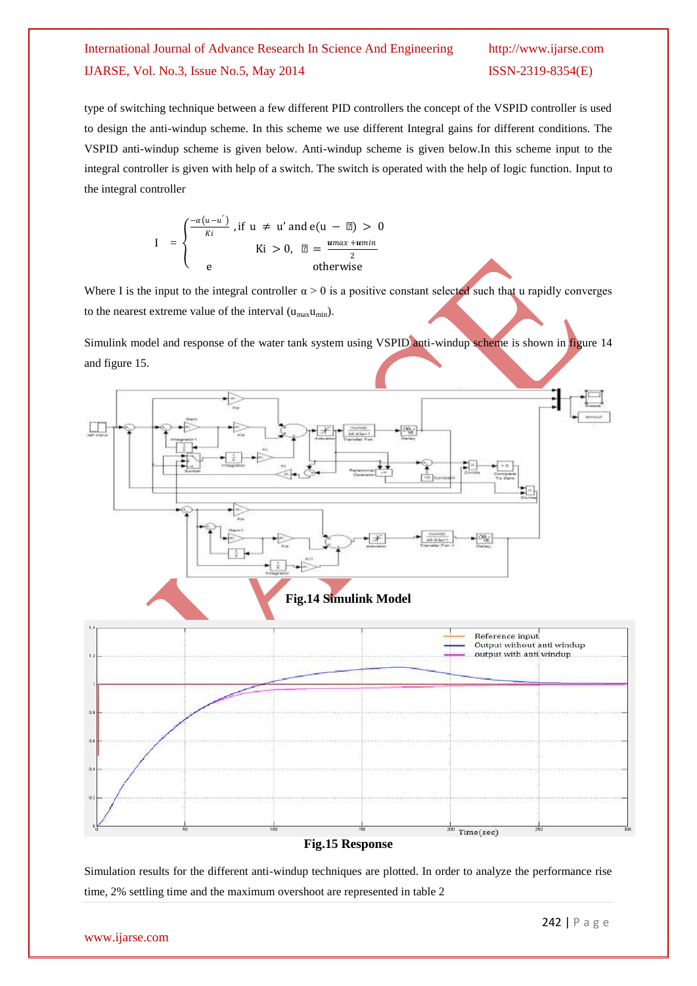type of switching technique between a few different PID controllers the concept of the VSPID controller is used to design the anti-windup scheme. In this scheme we use different Integral gains for different conditions. The VSPID anti-windup scheme is given below. Anti-windup scheme is given below.In this scheme input to the integral controller is given with help of a switch. The switch is operated with the help of logic function. Input to the integral controller

$$
I = \begin{cases} \frac{-\alpha(u-u')}{Ki}, \text{if } u \neq u' \text{ and } e(u-\mu) > 0\\ \text{if } i > 0, \ \mu = \frac{u \max + u \min}{2}\\ e \text{ otherwise} \end{cases}
$$

Where I is the input to the integral controller  $\alpha > 0$  is a positive constant selected such that u rapidly converges to the nearest extreme value of the interval  $(u_{max}u_{min})$ .

Simulink model and response of the water tank system using VSPID anti-windup scheme is shown in figure 14 and figure 15.



#### **Fig.15 Response**

Simulation results for the different anti-windup techniques are plotted. In order to analyze the performance rise time, 2% settling time and the maximum overshoot are represented in table 2